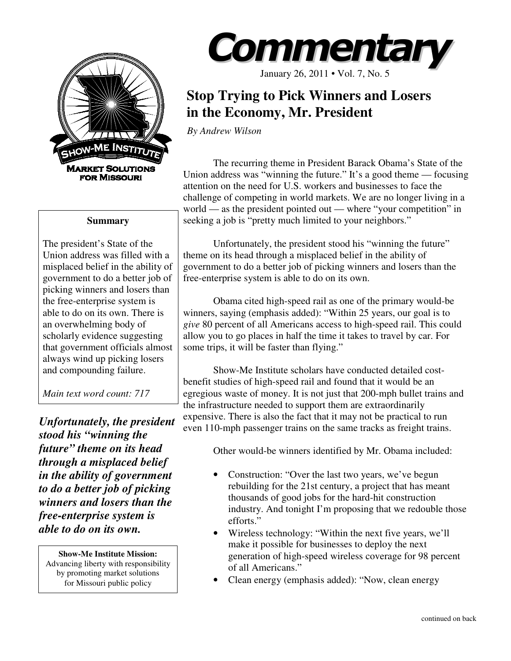

## **Summary**

The president's State of the Union address was filled with a misplaced belief in the ability of government to do a better job of picking winners and losers than the free-enterprise system is able to do on its own. There is an overwhelming body of scholarly evidence suggesting that government officials almost always wind up picking losers and compounding failure.

*Main text word count: 717* 

*Unfortunately, the president stood his "winning the future" theme on its head through a misplaced belief in the ability of government to do a better job of picking winners and losers than the free-enterprise system is able to do on its own.* 

**Show-Me Institute Mission:**  Advancing liberty with responsibility by promoting market solutions for Missouri public policy



January 26, 2011 • Vol. 7, No. 5

## **Stop Trying to Pick Winners and Losers in the Economy, Mr. President**

*By Andrew Wilson* 

The recurring theme in President Barack Obama's State of the Union address was "winning the future." It's a good theme — focusing attention on the need for U.S. workers and businesses to face the challenge of competing in world markets. We are no longer living in a world — as the president pointed out — where "your competition" in seeking a job is "pretty much limited to your neighbors."

Unfortunately, the president stood his "winning the future" theme on its head through a misplaced belief in the ability of government to do a better job of picking winners and losers than the free-enterprise system is able to do on its own.

Obama cited high-speed rail as one of the primary would-be winners, saying (emphasis added): "Within 25 years, our goal is to *give* 80 percent of all Americans access to high-speed rail. This could allow you to go places in half the time it takes to travel by car. For some trips, it will be faster than flying."

Show-Me Institute scholars have conducted detailed costbenefit studies of high-speed rail and found that it would be an egregious waste of money. It is not just that 200-mph bullet trains and the infrastructure needed to support them are extraordinarily expensive. There is also the fact that it may not be practical to run even 110-mph passenger trains on the same tracks as freight trains.

Other would-be winners identified by Mr. Obama included:

- Construction: "Over the last two years, we've begun rebuilding for the 21st century, a project that has meant thousands of good jobs for the hard-hit construction industry. And tonight I'm proposing that we redouble those efforts."
- Wireless technology: "Within the next five years, we'll make it possible for businesses to deploy the next generation of high-speed wireless coverage for 98 percent of all Americans."
- Clean energy (emphasis added): "Now, clean energy